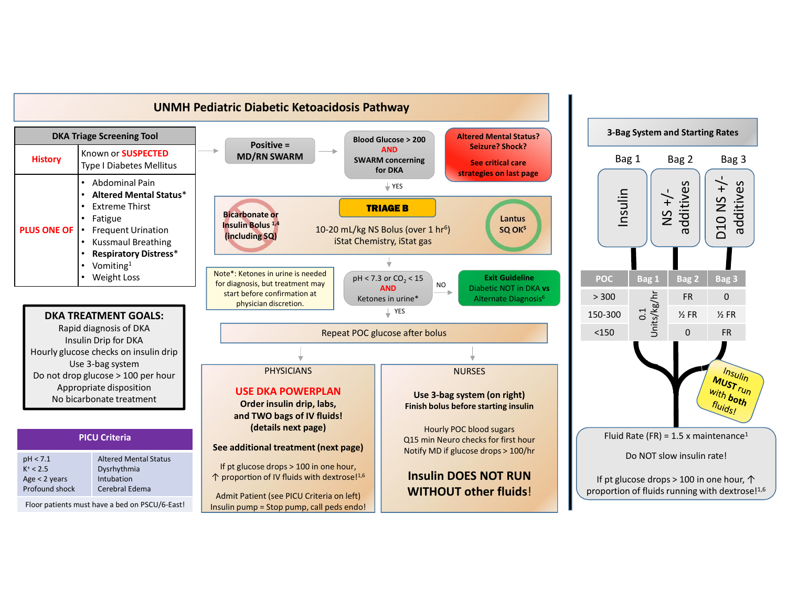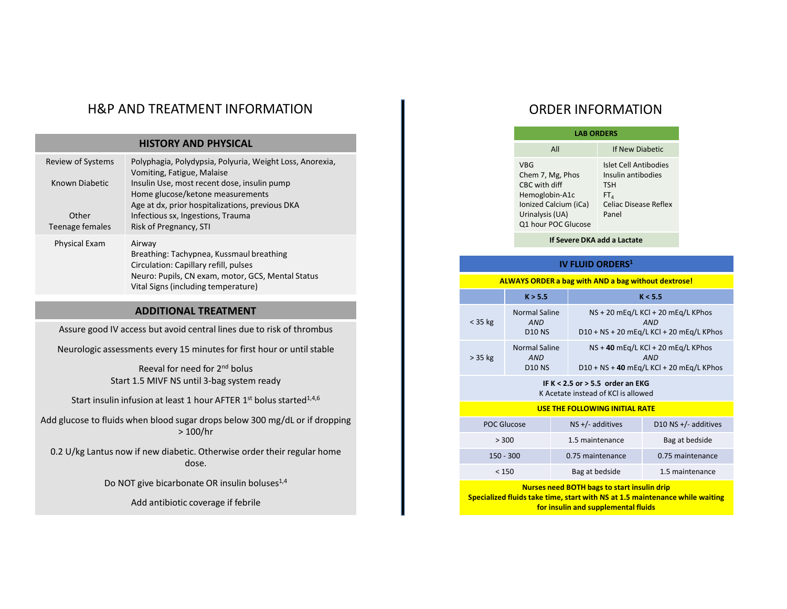# H&P AND TREATMENT INFORMATION **The CONDER INFORMATION**

|                                                                             | <b>H&amp;P AND TREATMENT INFORMATION</b>                                                                                                                         |                                        |                                                     | <b>ORDER INFORM</b>                                                                                                       |                                    |                        |  |
|-----------------------------------------------------------------------------|------------------------------------------------------------------------------------------------------------------------------------------------------------------|----------------------------------------|-----------------------------------------------------|---------------------------------------------------------------------------------------------------------------------------|------------------------------------|------------------------|--|
|                                                                             | <b>HISTORY AND PHYSICAL</b>                                                                                                                                      |                                        |                                                     |                                                                                                                           |                                    | <b>LAB ORDERS</b>      |  |
| Review of Systems                                                           | Polyphagia, Polydypsia, Polyuria, Weight Loss, Anorexia,                                                                                                         |                                        |                                                     | All<br><b>VBG</b>                                                                                                         |                                    | $If \theta$<br>Islet 0 |  |
| Known Diabetic                                                              | Vomiting, Fatigue, Malaise<br>Insulin Use, most recent dose, insulin pump<br>Home glucose/ketone measurements<br>Age at dx, prior hospitalizations, previous DKA |                                        |                                                     | Chem 7, Mg, Phos<br>Insuli<br>CBC with diff<br><b>TSH</b><br>Hemoglobin-A1c<br>$FT_{4}$<br>Ionized Calcium (iCa)<br>Celia |                                    |                        |  |
| Other<br>Teenage females                                                    | Infectious sx, Ingestions, Trauma<br>Risk of Pregnancy, STI                                                                                                      |                                        |                                                     | Urinalysis (UA)<br>Panel<br>Q1 hour POC Glucose                                                                           |                                    |                        |  |
| Physical Exam                                                               | Airway                                                                                                                                                           |                                        |                                                     |                                                                                                                           | If Severe DKA add a L              |                        |  |
|                                                                             | Breathing: Tachypnea, Kussmaul breathing<br>Circulation: Capillary refill, pulses                                                                                |                                        | <b>IV FLUID ORDEI</b>                               |                                                                                                                           |                                    |                        |  |
|                                                                             |                                                                                                                                                                  | <b>ALWAYS ORDER a bag with AND a b</b> |                                                     |                                                                                                                           |                                    |                        |  |
|                                                                             | <b>ADDITIONAL TREATMENT</b>                                                                                                                                      |                                        |                                                     | K > 5.5                                                                                                                   |                                    |                        |  |
| Assure good IV access but avoid central lines due to risk of thrombus       |                                                                                                                                                                  | $<$ 35 kg                              | <b>Normal Saline</b><br><b>AND</b><br><b>D10 NS</b> |                                                                                                                           | $NS + 20$ m<br>$D10 + NS + 2$      |                        |  |
|                                                                             | Neurologic assessments every 15 minutes for first hour or until stable                                                                                           |                                        | $> 35$ kg                                           | <b>Normal Saline</b><br><b>AND</b>                                                                                        |                                    | $NS + 40 m$            |  |
|                                                                             | Reeval for need for 2 <sup>nd</sup> bolus<br>Start 1.5 MIVF NS until 3-bag system ready                                                                          |                                        |                                                     | <b>D10 NS</b>                                                                                                             | IF K < 2.5 or > 5.5 orde           | $D10 + NS + 4$         |  |
|                                                                             | Start insulin infusion at least 1 hour AFTER 1 <sup>st</sup> bolus started <sup>1,4,6</sup>                                                                      |                                        |                                                     |                                                                                                                           | K Acetate instead of KCl i         |                        |  |
| Add glucose to fluids when blood sugar drops below 300 mg/dL or if dropping |                                                                                                                                                                  |                                        | <b>USE THE FOLLOWING INI</b>                        |                                                                                                                           |                                    |                        |  |
|                                                                             |                                                                                                                                                                  |                                        | <b>POC Glucose</b><br>> 300                         |                                                                                                                           | NS +/- additives                   |                        |  |
|                                                                             | 0.2 U/kg Lantus now if new diabetic. Otherwise order their regular home                                                                                          |                                        | $150 - 300$                                         |                                                                                                                           | 1.5 maintenance<br>0.75 maintenand |                        |  |
|                                                                             | dose.                                                                                                                                                            |                                        | < 150                                               |                                                                                                                           |                                    | Bag at bedside         |  |
|                                                                             | Do NOT give bicarbonate OR insulin boluses <sup>1,4</sup>                                                                                                        |                                        |                                                     | <b>Nurses need BOTH bags to sta</b>                                                                                       |                                    |                        |  |
|                                                                             | Add antibiotic coverage if febrile                                                                                                                               |                                        |                                                     | Specialized fluids take time, start with NS at 3<br>for insulin and suppleme                                              |                                    |                        |  |
|                                                                             |                                                                                                                                                                  |                                        |                                                     |                                                                                                                           |                                    |                        |  |

# ADDITIONAL TREATMENT

|                                                                 | <b>ORDER INFORMATION</b>                           |
|-----------------------------------------------------------------|----------------------------------------------------|
|                                                                 | <b>LAB ORDERS</b>                                  |
| All                                                             | If New Diabetic                                    |
| <b>VBG</b><br>Chem 7, Mg, Phos                                  | <b>Islet Cell Antibodies</b><br>Insulin antibodies |
| CBC with diff<br>Hemoglobin-A1c                                 | <b>TSH</b><br>FT <sub>4</sub>                      |
| Ionized Calcium (iCa)<br>Urinalysis (UA)<br>Q1 hour POC Glucose | <b>Celiac Disease Reflex</b><br>Panel              |

## IV FLUID ORDERS<sup>1</sup>

### ALWAYS ORDER a bag with AND a bag without dextrose!

|           |                                                                                                               |                              | <b>ORDER INFORMATION</b>                                                                                                     |            |                                          |
|-----------|---------------------------------------------------------------------------------------------------------------|------------------------------|------------------------------------------------------------------------------------------------------------------------------|------------|------------------------------------------|
|           |                                                                                                               | <b>LAB ORDERS</b>            |                                                                                                                              |            |                                          |
|           | All                                                                                                           |                              | If New Diabetic                                                                                                              |            |                                          |
|           | <b>VBG</b><br>Chem 7, Mg, Phos<br>CBC with diff<br>Hemoglobin-A1c<br>Ionized Calcium (iCa)<br>Urinalysis (UA) | Q1 hour POC Glucose          | <b>Islet Cell Antibodies</b><br>Insulin antibodies<br><b>TSH</b><br>FT <sub>4</sub><br><b>Celiac Disease Reflex</b><br>Panel |            |                                          |
|           |                                                                                                               |                              | If Severe DKA add a Lactate                                                                                                  |            |                                          |
|           |                                                                                                               | IV FLUID ORDERS <sup>1</sup> |                                                                                                                              |            |                                          |
|           | <b>ALWAYS ORDER a bag with AND a bag without dextrose!</b>                                                    |                              |                                                                                                                              |            |                                          |
|           | K > 5.5                                                                                                       |                              |                                                                                                                              | K < 5.5    |                                          |
| $<$ 35 kg | <b>Normal Saline</b><br><b>AND</b><br><b>D10 NS</b>                                                           |                              | NS + 20 mEq/L KCl + 20 mEq/L KPhos                                                                                           | <b>AND</b> | D10 + NS + 20 mEq/L KCl + 20 mEq/L KPhos |
| $> 35$ kg | <b>Normal Saline</b><br><b>AND</b><br><b>D10 NS</b>                                                           |                              | NS + 40 mEq/L KCl + 20 mEq/L KPhos                                                                                           | <b>AND</b> | D10 + NS + 40 mEq/L KCl + 20 mEq/L KPhos |
|           |                                                                                                               |                              | IF $K < 2.5$ or $> 5.5$ order an EKG<br>K Acetate instead of KCI is allowed                                                  |            |                                          |
|           |                                                                                                               |                              | <b>USE THE FOLLOWING INITIAL RATE</b>                                                                                        |            |                                          |
|           | <b>POC Glucose</b>                                                                                            | $NS +/-$ additives           |                                                                                                                              |            | D10 NS $+/-$ additives                   |
|           | > 300                                                                                                         | 1.5 maintenance              |                                                                                                                              |            | Bag at bedside                           |
|           | $150 - 300$                                                                                                   | 0.75 maintenance             |                                                                                                                              |            | 0.75 maintenance                         |
|           | < 150                                                                                                         | Bag at bedside               |                                                                                                                              |            | 1.5 maintenance                          |
|           | Specialized fluids take time, start with NS at 1.5 maintenance while waiting                                  |                              | <b>Nurses need BOTH bags to start insulin drip</b><br>for insulin and supplemental fluids                                    |            |                                          |
|           |                                                                                                               |                              |                                                                                                                              |            |                                          |
|           |                                                                                                               |                              |                                                                                                                              |            |                                          |

# USE THE FOLLOWING INITIAL RATE

### Nurses need BOTH bags to start insulin drip